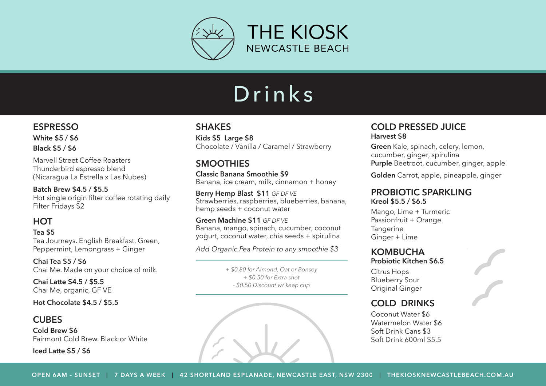

# Drinks

#### **ESPRESSO**

**White \$5 / \$6 Black \$5 / \$6** 

Marvell Street Coffee Roasters Thunderbird espresso blend (Nicaragua La Estrella x Las Nubes)

**Batch Brew \$4.5 / \$5.5** Hot single origin filter coffee rotating daily Filter Fridays \$2

## **HOT**

#### **Tea \$5**

Tea Journeys. English Breakfast, Green, Peppermint, Lemongrass + Ginger

**Chai Tea \$5 / \$6** Chai Me. Made on your choice of milk.

**Chai Latte \$4.5 / \$5.5** Chai Me, organic, GF VE

**Hot Chocolate \$4.5 / \$5.5**

#### **CUBES**

**Cold Brew \$6** Fairmont Cold Brew. Black or White

**Iced Latte \$5 / \$6**

### **SHAKES**

**Kids \$5 Large \$8**  Chocolate / Vanilla / Caramel / Strawberry

## **SMOOTHIES**

**Classic Banana Smoothie \$9** Banana, ice cream, milk, cinnamon + honey

**Berry Hemp Blast \$11** *GF DF VE* Strawberries, raspberries, blueberries, banana, hemp seeds + coconut water

**Green Machine \$11** *GF DF VE* Banana, mango, spinach, cucumber, coconut yogurt, coconut water, chia seeds + spirulina

*Add Organic Pea Protein to any smoothie \$3*

*+ \$0.80 for Almond, Oat or Bonsoy + \$0.50 for Extra shot - \$0.50 Discount w/ keep cup*



#### **COLD PRESSED JUICE Harvest \$8**

**Green** Kale, spinach, celery, lemon, cucumber, ginger, spirulina **Purple** Beetroot, cucumber, ginger, apple

**Golden** Carrot, apple, pineapple, ginger

#### **PROBIOTIC SPARKLING Kreol \$5.5 / \$6.5**

Mango, Lime + Turmeric Passionfruit + Orange **Tangerine** Ginger + Lime

## **KOMBUCHA**

**Probiotic Kitchen \$6.5**

Citrus Hops Blueberry Sour Original Ginger

## **COLD DRINKS**

Coconut Water \$6 Watermelon Water \$6 Soft Drink Cans \$3 Soft Drink 600ml \$5.5

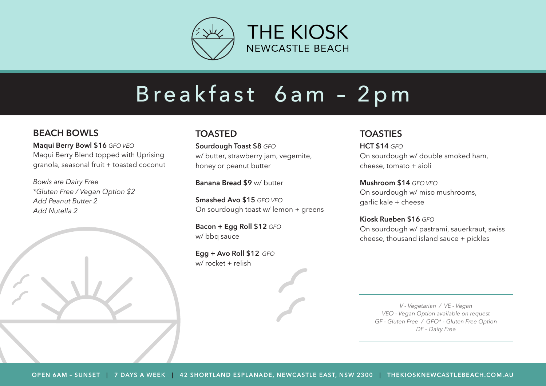

# Breakfast 6am - 2pm

## **BEACH BOWLS**

**Maqui Berry Bowl \$16** *GFO VEO* Maqui Berry Blend topped with Uprising granola, seasonal fruit + toasted coconut

*Bowls are Dairy Free \*Gluten Free / Vegan Option \$2 Add Peanut Butter 2 Add Nutella 2*

### **TOASTED**

**Sourdough Toast \$8** *GFO* w/ butter, strawberry jam, vegemite, honey or peanut butter

**Banana Bread \$9** w/ butter

**Smashed Avo \$15** *GFO VEO* On sourdough toast w/ lemon + greens

**Bacon + Egg Roll \$12** *GFO* w/ bbg sauce

**Egg + Avo Roll \$12** *GFO* w/ rocket + relish

## **TOASTIES**

**HCT \$14** *GFO* On sourdough w/ double smoked ham, cheese, tomato + aioli

**Mushroom \$14** *GFO VEO* On sourdough w/ miso mushrooms, garlic kale + cheese

**Kiosk Rueben \$16** *GFO* On sourdough w/ pastrami, sauerkraut, swiss cheese, thousand island sauce + pickles

*V - Vegetarian / VE - Vegan VEO - Vegan Option available on request GF - Gluten Free / GFO\* - Gluten Free Option DF – Dairy Free*